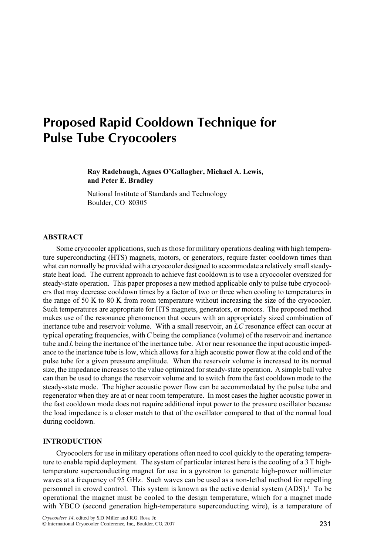# Proposed Rapid Cooldown Technique for Pulse Tube Cryocoolers

Ray Radebaugh, Agnes O'Gallagher, Michael A. Lewis, and Peter E. Bradley

National Institute of Standards and Technology Boulder, CO 80305

# ABSTRACT

Some cryocooler applications, such as those for military operations dealing with high temperature superconducting (HTS) magnets, motors, or generators, require faster cooldown times than what can normally be provided with a cryocooler designed to accommodate a relatively small steadystate heat load. The current approach to achieve fast cooldown is to use a cryocooler oversized for steady-state operation. This paper proposes a new method applicable only to pulse tube cryocoolers that may decrease cooldown times by a factor of two or three when cooling to temperatures in the range of 50 K to 80 K from room temperature without increasing the size of the cryocooler. Such temperatures are appropriate for HTS magnets, generators, or motors. The proposed method makes use of the resonance phenomenon that occurs with an appropriately sized combination of inertance tube and reservoir volume. With a small reservoir, an LC resonance effect can occur at typical operating frequencies, with C being the compliance (volume) of the reservoir and inertance tube and  $L$  being the inertance of the inertance tube. At or near resonance the input acoustic impedance to the inertance tube is low, which allows for a high acoustic power flow at the cold end of the pulse tube for a given pressure amplitude. When the reservoir volume is increased to its normal size, the impedance increases to the value optimized for steady-state operation. A simple ball valve can then be used to change the reservoir volume and to switch from the fast cooldown mode to the steady-state mode. The higher acoustic power flow can be accommodated by the pulse tube and regenerator when they are at or near room temperature. In most cases the higher acoustic power in the fast cooldown mode does not require additional input power to the pressure oscillator because the load impedance is a closer match to that of the oscillator compared to that of the normal load during cooldown.

# **INTRODUCTION**

Cryocoolers for use in military operations often need to cool quickly to the operating temperature to enable rapid deployment. The system of particular interest here is the cooling of a 3T hightemperature superconducting magnet for use in a gyrotron to generate high-power millimeter waves at a frequency of 95 GHz. Such waves can be used as a non-lethal method for repelling personnel in crowd control. This system is known as the active denial system (ADS).<sup>1</sup> To be operational the magnet must be cooled to the design temperature, which for a magnet made with YBCO (second generation high-temperature superconducting wire), is a temperature of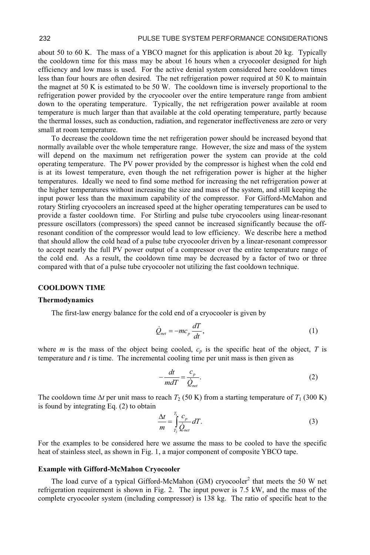about 50 to 60 K. The mass of a YBCO magnet for this application is about 20 kg. Typically the cooldown time for this mass may be about 16 hours when a cryocooler designed for high efficiency and low mass is used. For the active denial system considered here cooldown times less than four hours are often desired. The net refrigeration power required at 50 K to maintain the magnet at 50 K is estimated to be 50 W. The cooldown time is inversely proportional to the refrigeration power provided by the cryocooler over the entire temperature range from ambient down to the operating temperature. Typically, the net refrigeration power available at room temperature is much larger than that available at the cold operating temperature, partly because the thermal losses, such as conduction, radiation, and regenerator ineffectiveness are zero or very small at room temperature.

To decrease the cooldown time the net refrigeration power should be increased beyond that normally available over the whole temperature range. However, the size and mass of the system will depend on the maximum net refrigeration power the system can provide at the cold operating temperature. The PV power provided by the compressor is highest when the cold end is at its lowest temperature, even though the net refrigeration power is higher at the higher temperatures. Ideally we need to find some method for increasing the net refrigeration power at the higher temperatures without increasing the size and mass of the system, and still keeping the input power less than the maximum capability of the compressor. For Gifford-McMahon and rotary Stirling cryocoolers an increased speed at the higher operating temperatures can be used to provide a faster cooldown time. For Stirling and pulse tube cryocoolers using linear-resonant pressure oscillators (compressors) the speed cannot be increased significantly because the offresonant condition of the compressor would lead to low efficiency. We describe here a method that should allow the cold head of a pulse tube cryocooler driven by a linear-resonant compressor to accept nearly the full PV power output of a compressor over the entire temperature range of the cold end. As a result, the cooldown time may be decreased by a factor of two or three compared with that of a pulse tube cryocooler not utilizing the fast cooldown technique.

## **COOLDOWN TIME**

## Thermodynamics

The first-law energy balance for the cold end of a cryocooler is given by

$$
\dot{Q}_{net} = -mc_p \frac{dT}{dt},\tag{1}
$$

where *m* is the mass of the object being cooled,  $c_p$  is the specific heat of the object, T is temperature and  $t$  is time. The incremental cooling time per unit mass is then given as

$$
-\frac{dt}{mdT} = \frac{c_p}{\dot{Q}_{net}}.\tag{2}
$$

The cooldown time  $\Delta t$  per unit mass to reach  $T_2$  (50 K) from a starting temperature of  $T_1$  (300 K) is found by integrating Eq. (2) to obtain

$$
\frac{\Delta t}{m} = \int_{T_2}^{T_1} \frac{c_p}{Q_{net}} dT.
$$
\n(3)

For the examples to be considered here we assume the mass to be cooled to have the specific heat of stainless steel, as shown in Fig. 1, a major component of composite YBCO tape.

## **Example with Gifford-McMahon Cryocooler**

The load curve of a typical Gifford-McMahon (GM) cryocooler<sup>2</sup> that meets the 50 W net refrigeration requirement is shown in Fig. 2. The input power is 7.5 kW, and the mass of the complete cryocooler system (including compressor) is 138 kg. The ratio of specific heat to the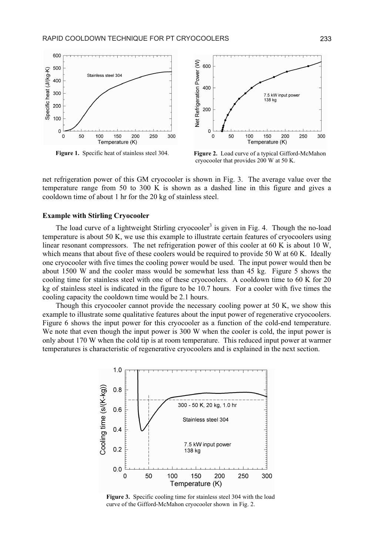

Figure 1. Specific heat of stainless steel 304.



Figure 2. Load curve of a typical Gifford-McMahon cryocooler that provides 200 W at 50 K.

net refrigeration power of this GM cryocooler is shown in Fig. 3. The average value over the temperature range from 50 to 300 K is shown as a dashed line in this figure and gives a cooldown time of about 1 hr for the 20 kg of stainless steel.

## **Example with Stirling Cryocooler**

The load curve of a lightweight Stirling cryocooler<sup>3</sup> is given in Fig. 4. Though the no-load temperature is about 50 K, we use this example to illustrate certain features of cryocoolers using linear resonant compressors. The net refrigeration power of this cooler at 60 K is about 10 W, which means that about five of these coolers would be required to provide 50 W at 60 K. Ideally one cryocooler with five times the cooling power would be used. The input power would then be about 1500 W and the cooler mass would be somewhat less than 45 kg. Figure 5 shows the cooling time for stainless steel with one of these cryocoolers. A cooldown time to 60 K for 20 kg of stainless steel is indicated in the figure to be 10.7 hours. For a cooler with five times the cooling capacity the cooldown time would be 2.1 hours.

Though this cryocooler cannot provide the necessary cooling power at 50 K, we show this example to illustrate some qualitative features about the input power of regenerative cryocoolers. Figure 6 shows the input power for this cryocooler as a function of the cold-end temperature. We note that even though the input power is 300 W when the cooler is cold, the input power is only about 170 W when the cold tip is at room temperature. This reduced input power at warmer temperatures is characteristic of regenerative cryocoolers and is explained in the next section.



Figure 3. Specific cooling time for stainless steel 304 with the load curve of the Gifford-McMahon cryocooler shown in Fig. 2.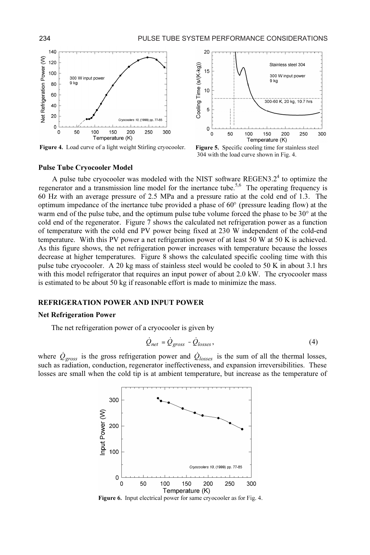

Figure 4. Load curve of a light weight Stirling cryocooler. Figure 5. Specific cooling time for stainless steel



304 with the load curve shown in Fig. 4.

#### Pulse Tube Cryocooler Model

60 Hz with an average pressure of 2.5 MPa and a pressure ratio at the cold end of 1.3. The optimum impedance of the inertance tube provided a phase of  $60^{\circ}$  (pressure leading flow) at the warm end of the pulse tube, and the optimum pulse tube volume forced the phase to be  $30^{\circ}$  at the cold end of the regenerator. Figure 7 shows the calculated net refrigeration power as a function of temperature with the cold end PV power being fixed at 230 W independent of the cold-end temperature. With this PV power a net refrigeration power of at least 50 W at 50 K is achieved. As this figure shows, the net refrigeration power increases with temperature because the losses decrease at higher temperatures. Figure 8 shows the calculated specific cooling time with this pulse tube cryocooler. A 20 kg mass of stainless steel would be cooled to 50 K in about 3.1 hrs with this model refrigerator that requires an input power of about 2.0 kW. The cryocooler mass is estimated to be about 50 kg if reasonable effort is made to minimize the mass. A pulse tube cryocooler was modeled with the NIST software REGEN3.2<sup>4</sup> to optimize the regenerator and a transmission line model for the inertance tube.<sup>5,6</sup> The operating frequency is

## REFRIGERATION POWER AND INPUT POWER

#### Net Refrigeration Power

The net refrigeration power of a cryocooler is given by

**D INPUT POWER**  
\n
$$
\dot{Q}_{net} = \dot{Q}_{gross} - \dot{Q}_{losses},
$$
\n(4)

where  $\dot{Q}_{\text{cross}}$  is the gross refrigeration power and  $\dot{Q}_{\text{losses}}$  is the sum of all the thermal losses, such as radiation, conduction, regenerator ineffectiveness, and expansion irreversibilities. These losses are small when the cold tip is at ambient temperature, but increase as the temperature of



Figure 6. Input electrical power for same cryocooler as for Fig. 4.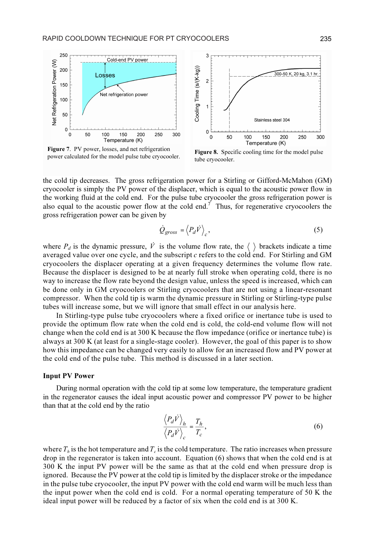

Figure 7. PV power, losses, and net refrigeration **Figure 7.** PV power, losses, and net retrigeration<br>power calculated for the model pulse tube cryocooler.<br>the cryocooler



tube cryocooler.

the cold tip decreases. The gross refrigeration power for a Stirling or Gifford-McMahon (GM) cryocooler is simply the PV power of the displacer, which is equal to the acoustic power flow in the working fluid at the cold end. For the pulse tube cryocooler the gross refrigeration power is also equal to the acoustic power flow at the cold end.<sup>7</sup> Thus, for regenerative cryocoolers the gross refrigeration power can be given by the displacer, which is equal to the acoustic power flow<br>the pulse tube cryocooler the gross refrigeration power<br>at the cold end.<sup>7</sup> Thus, for regenerative cryocoolers t<br>by<br> $\dot{Q}_{gross} = \langle P_d \dot{V} \rangle_c$ , (5)

$$
\dot{Q}_{gross} = \langle P_d \dot{V} \rangle_c, \tag{5}
$$

where  $P_d$  is the dynamic pressure,  $\dot{V}$  is the volume flow rate, the  $\langle \rangle$  brackets indicate a time averaged value over one cycle, and the subscript  $c$  refers to the cold end. For Stirling and GM cryocoolers the displacer operating at a given frequency determines the volume flow rate. Because the displacer is designed to be at nearly full stroke when operating cold, there is no way to increase the flow rate beyond the design value, unless the speed is increased, which can be done only in GM cryocoolers or Stirling cryocoolers that are not using a linear-resonant compressor. When the cold tip is warm the dynamic pressure in Stirling or Stirling-type pulse tubes will increase some, but we will ignore that small effect in our analysis here.

In Stirling-type pulse tube cryocoolers where a fixed orifice or inertance tube is used to provide the optimum flow rate when the cold end is cold, the cold-end volume flow will not change when the cold end is at 300 K because the flow impedance (orifice or inertance tube) is always at 300 K (at least for a single-stage cooler). However, the goal of this paper is to show how this impedance can be changed very easily to allow for an increased flow and PV power at the cold end of the pulse tube. This method is discussed in a later section.

## Input PV Power

During normal operation with the cold tip at some low temperature, the temperature gradient During normal operation with the cold the at some low temperature, the temperature gradient<br>
in the regenerator causes the ideal input acoustic power and compressor PV power to be higher<br>
than that at the cold end by the than that at the cold end by the ratio

$$
\frac{\langle P_d \vec{V} \rangle_h}{\langle P_d \vec{V} \rangle_c} = \frac{T_h}{T_c},\tag{6}
$$

where  $T_h$  is the hot temperature and  $T_c$  is the cold temperature. The ratio increases when pressure drop in the regenerator is taken into account. Equation (6) shows that when the cold end is at 300 K the input PV power will be the same as that at the cold end when pressure drop is ignored. Because the PV power at the cold tip is limited by the displacer stroke or the impedance in the pulse tube cryocooler, the input PV power with the cold end warm will be much less than the input power when the cold end is cold. For a normal operating temperature of 50 K the ideal input power will be reduced by a factor of six when the cold end is at 300 K.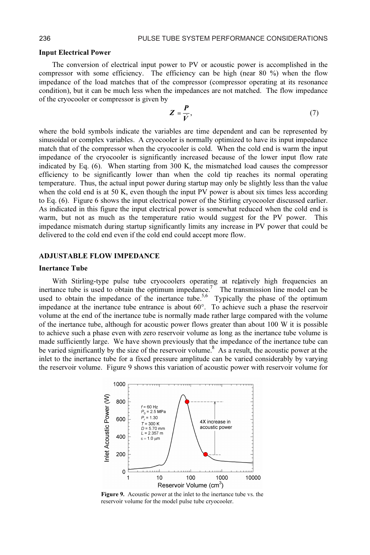#### Input Electrical Power

The conversion of electrical input power to PV or acoustic power is accomplished in the compressor with some efficiency. The efficiency can be high (near 80 %) when the flow impedance of the load matches that of the compressor (compressor operating at its resonance condition), but it can be much less when the impedances are not matched. The flow impedance of the cryocooler or compressor is gi condition), but it can be much less when the impedances are not matched. The flow impedance of the cryocooler or compressor is given by

$$
Z = \frac{P}{\dot{V}},\tag{7}
$$

where the bold symbols indicate the variables are time dependent and can be represented by sinusoidal or complex variables. A cryocooler is normally optimized to have its input impedance match that of the compressor when the cryocooler is cold. When the cold end is warm the input impedance of the cryocooler is significantly increased because of the lower input flow rate indicated by Eq. (6). When starting from 300 K, the mismatched load causes the compressor efficiency to be significantly lower than when the cold tip reaches its normal operating temperature. Thus, the actual input power during startup may only be slightly less than the value when the cold end is at 50 K, even though the input PV power is about six times less according to Eq. (6). Figure 6 shows the input electrical power of the Stirling cryocooler discussed earlier. As indicated in this figure the input electrical power is somewhat reduced when the cold end is warm, but not as much as the temperature ratio would suggest for the PV power. This impedance mismatch during startup significantly limits any increase in PV power that could be delivered to the cold end even if the cold end could accept more flow.

## ADJUSTABLE FLOW IMPEDANCE

### Inertance Tube

With Stirling-type pulse tube cryocoolers operating at relatively high frequencies an which surfing-type purse there eryocoolets operating at regardery lingif inequencies and inertance tube is used to obtain the optimum impedance.<sup>7</sup> The transmission line model can be used to obtain the impedance of the inertance tube.<sup>5,6</sup> Typically the phase of the optimum impedance at the inertance tube entrance is about  $60^\circ$ . To achieve such a phase the reservoir volume at the end of the inertance tube is normally made rather large compared with the volume of the inertance tube, although for acoustic power flows greater than about 100 W it is possible to achieve such a phase even with zero reservoir volume as long as the inertance tube volume is made sufficiently large. We have shown previously that the impedance of the inertance tube can be varied significantly by the size of the reservoir volume.<sup>8</sup> As a result, the acoustic power at the inlet to the inertance tube for a fixed pressure amplitude can be varied considerably by varying the reservoir volume. Figure 9 shows this variation of acoustic power with reservoir volume for



Figure 9. Acoustic power at the inlet to the inertance tube vs. the reservoir volume for the model pulse tube cryocooler.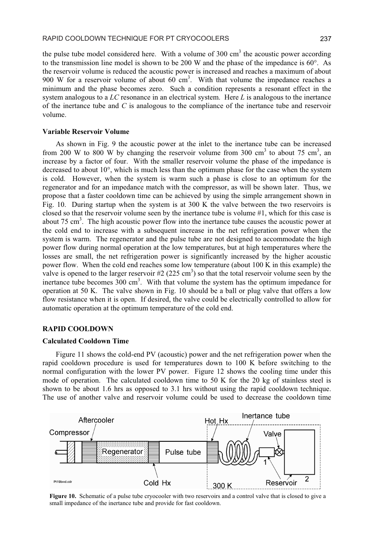the pulse tube model considered here. With a volume of 300 cm<sup>3</sup> the acoustic power according to the transmission line model is shown to be 200 W and the phase of the impedance is  $60^{\circ}$ . As the reservoir volume is reduced the acoustic power is increased and reaches a maximum of about 900 W for a reservoir volume of about 60 cm<sup>3</sup>. With that volume the impedance reaches a minimum and the phase becomes zero. Such a condition represents a resonant effect in the system analogous to a  $LC$  resonance in an electrical system. Here  $L$  is analogous to the inertance of the inertance tube and  $C$  is analogous to the compliance of the inertance tube and reservoir volume.

## **Variable Reservoir Volume**

As shown in Fig. 9 the acoustic power at the inlet to the inertance tube can be increased from 200 W to 800 W by changing the reservoir volume from 300 cm<sup>3</sup> to about 75 cm<sup>3</sup>, an increase by a factor of four. With the smaller reservoir volume the phase of the impedance is decreased to about 10°, which is much less than the optimum phase for the case when the system is cold. However, when the system is warm such a phase is close to an optimum for the regenerator and for an impedance match with the compressor, as will be shown later. Thus, we propose that a faster cooldown time can be achieved by using the simple arrangement shown in Fig. 10. During startup when the system is at 300 K the valve between the two reservoirs is closed so that the reservoir volume seen by the inertance tube is volume #1, which for this case is about 75 cm<sup>3</sup>. The high acoustic power flow into the inertance tube causes the acoustic power at the cold end to increase with a subsequent increase in the net refrigeration power when the system is warm. The regenerator and the pulse tube are not designed to accommodate the high power flow during normal operation at the low temperatures, but at high temperatures where the losses are small, the net refrigeration power is significantly increased by the higher acoustic power flow. When the cold end reaches some low temperature (about 100 K in this example) the valve is opened to the larger reservoir #2 (225 cm<sup>3</sup>) so that the total reservoir volume seen by the inertance tube becomes 300 cm<sup>3</sup>. With that volume the system has the optimum impedance for operation at 50 K. The valve shown in Fig. 10 should be a ball or plug valve that offers a low flow resistance when it is open. If desired, the valve could be electrically controlled to allow for automatic operation at the optimum temperature of the cold end.

## **RAPID COOLDOWN**

## **Calculated Cooldown Time**

Figure 11 shows the cold-end PV (acoustic) power and the net refrigeration power when the rapid cooldown procedure is used for temperatures down to 100 K before switching to the normal configuration with the lower PV power. Figure 12 shows the cooling time under this mode of operation. The calculated cooldown time to 50 K for the 20 kg of stainless steel is shown to be about 1.6 hrs as opposed to 3.1 hrs without using the rapid cooldown technique. The use of another valve and reservoir volume could be used to decrease the cooldown time



Figure 10. Schematic of a pulse tube cryocooler with two reservoirs and a control valve that is closed to give a small impedance of the inertance tube and provide for fast cooldown.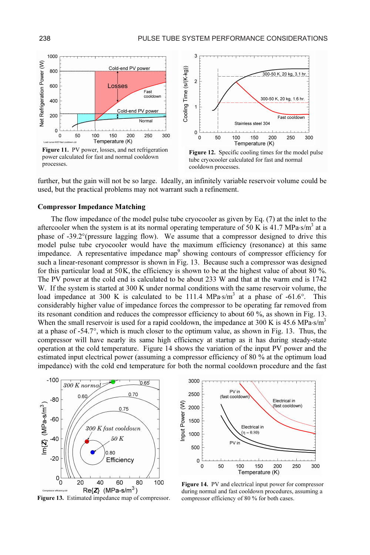

power calculated for fast and normal cooldown processes.



Figure 12. Specific cooling times for the model pulse tube cryocooler calculated for fast and normal cooldown processes.

further, but the gain will not be so large. Ideally, an infinitely variable reservoir volume could be used, but the practical problems may not warrant such a refinement.

## Compressor Impedance Matching

The flow impedance of the model pulse tube cryocooler as given by Eq. (7) at the inlet to the aftercooler when the system is at its normal operating temperature of 50 K is 41.7 MPa s/m<sup>3</sup> at a phase of -39.2° (pressure lagging flow). We assume that a compressor designed to drive this model pulse tube cryocooler would have the maximum efficiency (resonance) at this same impedance. A representative impedance map<sup>9</sup> showing contours of compressor efficiency for such a linear-resonant compressor is shown in Fig. 13. Because such a compressor was designed The PV power at the cold end is calculated to be about 233 W and that at the warm end is 1742 W. If the system is started at 300 K under normal conditions with the same reservoir volume, the load impedance at 300 K is calculated to be 111.4 MPa·s/m<sup>3</sup> at a phase of -61.6°. This considerably higher value of impedance forces the compressor to be operating far removed from its resonant condition and reduces the compressor efficiency to about 60 %, as shown in Fig. 13. When the small reservoir is used for a rapid cooldown, the impedance at 300 K is 45.6 MPa  $\text{s/m}^3$ compressor will have nearly its same high efficiency at startup as it has during steady-state operation at the cold temperature. Figure 14 shows the variation of the input PV power and the estimated input electrical power (assuming a compressor efficiency of 80 % at the optimum load impedance) with the cold end temperature for both the normal cooldown procedure and the fast at a phase of -54.7°, which is much closer to the optimum value, as shown in Fig. 13. Thus, the for this particular load at 50K, the efficiency is shown to be at the highest value of about 80 %.



Figure 13. Estimated impedance map of compressor.



Figure 14. PV and electrical input power for compressor during normal and fast cooldown procedures, assuming a compressor efficiency of 80 % for both cases.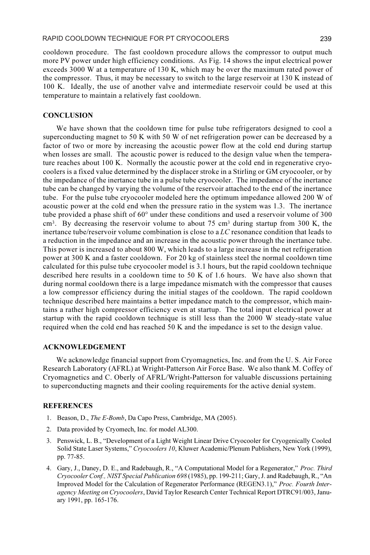cooldown procedure. The fast cooldown procedure allows the compressor to output much more PV power under high efficiency conditions. As Fig. 14 shows the input electrical power exceeds 3000 W at a temperature of 130 K, which may be over the maximum rated power of the compressor. Thus, it may be necessary to switch to the large reservoir at 130 K instead of 100 K. Ideally, the use of another valve and intermediate reservoir could be used at this temperature to maintain a relatively fast cooldown.

# **CONCLUSION**

We have shown that the cooldown time for pulse tube refrigerators designed to cool a superconducting magnet to 50 K with 50 W of net refrigeration power can be decreased by a factor of two or more by increasing the acoustic power flow at the cold end during startup when losses are small. The acoustic power is reduced to the design value when the temperature reaches about 100 K. Normally the acoustic power at the cold end in regenerative cryocoolers is a fixed value determined by the displacer stroke in a Stirling or GM cryocooler, or by the impedance of the inertance tube in a pulse tube cryocooler. The impedance of the inertance tube can be changed by varying the volume of the reservoir attached to the end of the inertance tube. For the pulse tube cryocooler modeled here the optimum impedance allowed 200 W of acoustic power at the cold end when the pressure ratio in the system was 1.3. The inertance tube provided a phase shift of 60° under these conditions and used a reservoir volume of 300  $\text{cm}^3$ . By decreasing the reservoir volume to about 75 cm<sup>3</sup> during startup from 300 K, the inertance tube/reservoir volume combination is close to a LC resonance condition that leads to a reduction in the impedance and an increase in the acoustic power through the inertance tube. This power is increased to about 800 W, which leads to a large increase in the net refrigeration power at 300 K and a faster cooldown. For 20 kg of stainless steel the normal cooldown time calculated for this pulse tube cryocooler model is 3.1 hours, but the rapid cooldown technique described here results in a cooldown time to 50 K of 1.6 hours. We have also shown that during normal cooldown there is a large impedance mismatch with the compressor that causes a low compressor efficiency during the initial stages of the cooldown. The rapid cooldown technique described here maintains a better impedance match to the compressor, which maintains a rather high compressor efficiency even at startup. The total input electrical power at startup with the rapid cooldown technique is still less than the 2000 W steady-state value required when the cold end has reached 50 K and the impedance is set to the design value.

## ACKNOWLEDGEMENT

We acknowledge financial support from Cryomagnetics, Inc. and from the U. S. Air Force Research Laboratory (AFRL) at Wright-Patterson Air Force Base. We also thank M. Coffey of Cryomagnetics and C. Oberly of AFRL/Wright-Patterson for valuable discussions pertaining to superconducting magnets and their cooling requirements for the active denial system.

# **REFERENCES**

- 1. Beason, D., The E-Bomb, Da Capo Press, Cambridge, MA (2005).
- 2. Data provided by Cryomech, Inc. for model AL300.
- 3. Penswick, L. B., "Development of a Light Weight Linear Drive Cryocooler for Cryogenically Cooled Solid State Laser Systems," Cryocoolers 10, Kluwer Academic/Plenum Publishers, New York (1999), pp. 77-85.
- 4. Gary, J., Daney, D. E., and Radebaugh, R., "A Computational Model for a Regenerator," Proc. Third Cryocooler Conf., NIST Special Publication 698 (1985), pp. 199-211; Gary, J. and Radebaugh, R., "An Improved Model for the Calculation of Regenerator Performance (REGEN3.1)," Proc. Fourth Interagency Meeting on Cryocoolers, David Taylor Research Center Technical Report DTRC91/003, January 1991, pp. 165-176.